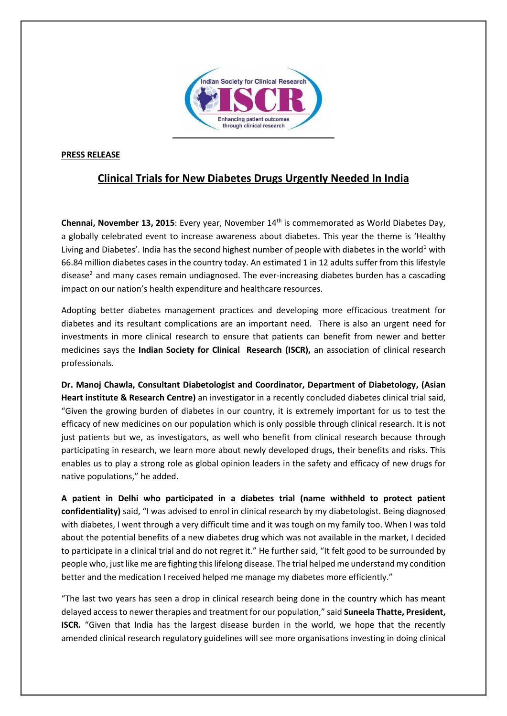

## **PRESS RELEASE**

## **Clinical Trials for New Diabetes Drugs Urgently Needed In India**

**Chennai, November 13, 2015**: Every year, November 14<sup>th</sup> is commemorated as World Diabetes Day, a globally celebrated event to increase awareness about diabetes. This year the theme is 'Healthy Living and Diabetes'. India has the second highest number of people with diabetes in the world<sup>1</sup> with 66.84 million diabetes cases in the country today. An estimated 1 in 12 adults suffer from this lifestyle disease<sup>2</sup> and many cases remain undiagnosed. The ever-increasing diabetes burden has a cascading impact on our nation's health expenditure and healthcare resources.

Adopting better diabetes management practices and developing more efficacious treatment for diabetes and its resultant complications are an important need. There is also an urgent need for investments in more clinical research to ensure that patients can benefit from newer and better medicines says the **Indian Society for Clinical Research (ISCR),** an association of clinical research professionals.

**Dr. Manoj Chawla, Consultant Diabetologist and Coordinator, Department of Diabetology, (Asian Heart institute & Research Centre)** an investigator in a recently concluded diabetes clinical trial said, "Given the growing burden of diabetes in our country, it is extremely important for us to test the efficacy of new medicines on our population which is only possible through clinical research. It is not just patients but we, as investigators, as well who benefit from clinical research because through participating in research, we learn more about newly developed drugs, their benefits and risks. This enables us to play a strong role as global opinion leaders in the safety and efficacy of new drugs for native populations," he added.

**A patient in Delhi who participated in a diabetes trial (name withheld to protect patient confidentiality)** said, "I was advised to enrol in clinical research by my diabetologist. Being diagnosed with diabetes, I went through a very difficult time and it was tough on my family too. When I was told about the potential benefits of a new diabetes drug which was not available in the market, I decided to participate in a clinical trial and do not regret it." He further said, "It felt good to be surrounded by people who, just like me are fighting this lifelong disease. The trial helped me understand my condition better and the medication I received helped me manage my diabetes more efficiently."

"The last two years has seen a drop in clinical research being done in the country which has meant delayed access to newer therapies and treatment for our population," said **Suneela Thatte, President, ISCR.** "Given that India has the largest disease burden in the world, we hope that the recently amended clinical research regulatory guidelines will see more organisations investing in doing clinical